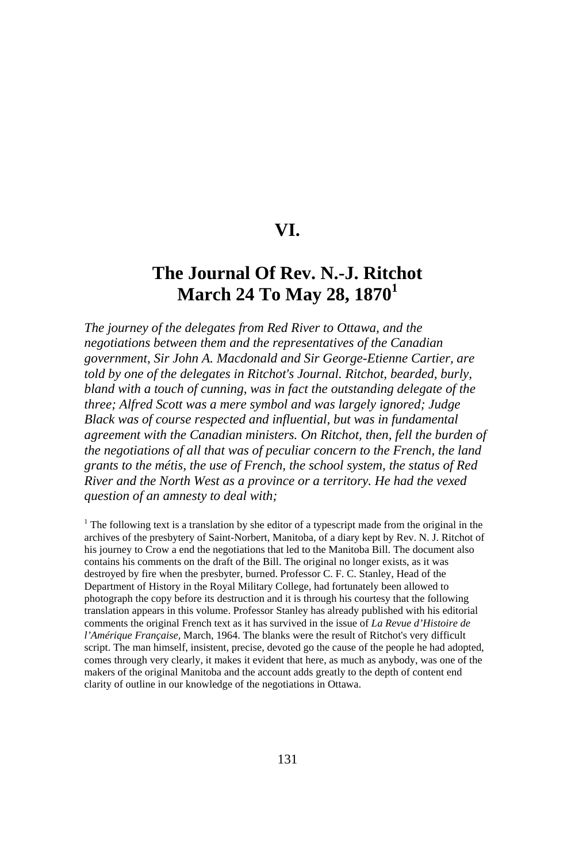## **VI.**

# **The Journal Of Rev. N.-J. Ritchot March 24 To May 28, 1870<sup>1</sup>**

*The journey of the delegates from Red River to Ottawa, and the negotiations between them and the representatives of the Canadian government, Sir John A. Macdonald and Sir George-Etienne Cartier, are told by one of the delegates in Ritchot's Journal. Ritchot, bearded, burly, bland with a touch of cunning, was in fact the outstanding delegate of the three; Alfred Scott was a mere symbol and was largely ignored; Judge Black was of course respected and influential, but was in fundamental agreement with the Canadian ministers. On Ritchot, then, fell the burden of the negotiations of all that was of peculiar concern to the French, the land grants to the métis, the use of French, the school system, the status of Red River and the North West as a province or a territory. He had the vexed question of an amnesty to deal with;* 

<sup>1</sup> The following text is a translation by she editor of a typescript made from the original in the archives of the presbytery of Saint-Norbert, Manitoba, of a diary kept by Rev. N. J. Ritchot of his journey to Crow a end the negotiations that led to the Manitoba Bill. The document also contains his comments on the draft of the Bill. The original no longer exists, as it was destroyed by fire when the presbyter, burned. Professor C. F. C. Stanley, Head of the Department of History in the Royal Military College, had fortunately been allowed to photograph the copy before its destruction and it is through his courtesy that the following translation appears in this volume. Professor Stanley has already published with his editorial comments the original French text as it has survived in the issue of *La Revue d'Histoire de l'Amérique Française,* March, 1964. The blanks were the result of Ritchot's very difficult script. The man himself, insistent, precise, devoted go the cause of the people he had adopted, comes through very clearly, it makes it evident that here, as much as anybody, was one of the makers of the original Manitoba and the account adds greatly to the depth of content end clarity of outline in our knowledge of the negotiations in Ottawa.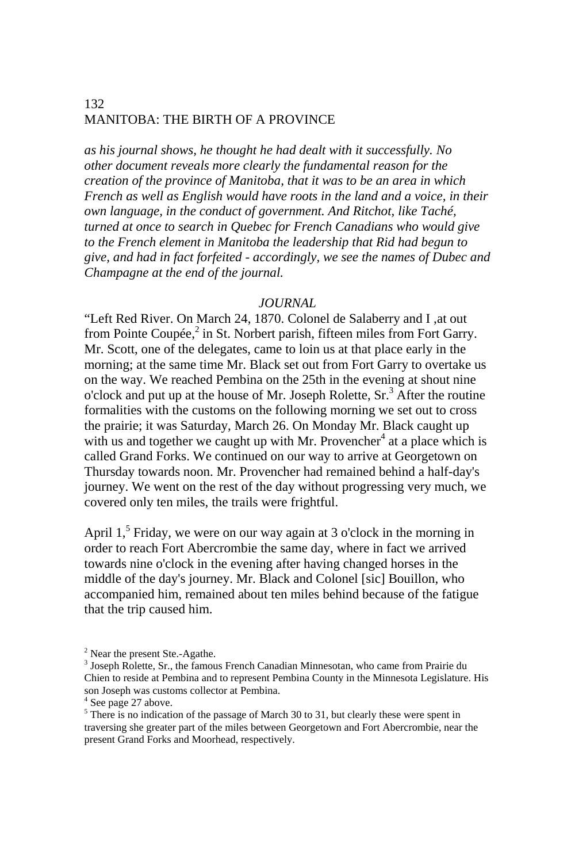*as his journal shows, he thought he had dealt with it successfully. No other document reveals more clearly the fundamental reason for the creation of the province of Manitoba, that it was to be an area in which French as well as English would have roots in the land and a voice, in their own language, in the conduct of government. And Ritchot, like Taché, turned at once to search in Quebec for French Canadians who would give to the French element in Manitoba the leadership that Rid had begun to give, and had in fact forfeited - accordingly, we see the names of Dubec and Champagne at the end of the journal.*

#### *JOURNAL*

"Left Red River. On March 24, 1870. Colonel de Salaberry and I ,at out from Pointe Coupée,<sup>2</sup> in St. Norbert parish, fifteen miles from Fort Garry. Mr. Scott, one of the delegates, came to loin us at that place early in the morning; at the same time Mr. Black set out from Fort Garry to overtake us on the way. We reached Pembina on the 25th in the evening at shout nine o'clock and put up at the house of Mr. Joseph Rolette, Sr.<sup>3</sup> After the routine formalities with the customs on the following morning we set out to cross the prairie; it was Saturday, March 26. On Monday Mr. Black caught up with us and together we caught up with Mr. Provencher<sup>4</sup> at a place which is called Grand Forks. We continued on our way to arrive at Georgetown on Thursday towards noon. Mr. Provencher had remained behind a half-day's journey. We went on the rest of the day without progressing very much, we covered only ten miles, the trails were frightful.

April  $1<sup>5</sup>$  Friday, we were on our way again at 3 o'clock in the morning in order to reach Fort Abercrombie the same day, where in fact we arrived towards nine o'clock in the evening after having changed horses in the middle of the day's journey. Mr. Black and Colonel [sic] Bouillon, who accompanied him, remained about ten miles behind because of the fatigue that the trip caused him.

<sup>&</sup>lt;sup>2</sup> Near the present Ste.-Agathe.

<sup>&</sup>lt;sup>3</sup> Joseph Rolette, Sr., the famous French Canadian Minnesotan, who came from Prairie du Chien to reside at Pembina and to represent Pembina County in the Minnesota Legislature. His son Joseph was customs collector at Pembina.

<sup>4</sup> See page 27 above.

 $<sup>5</sup>$  There is no indication of the passage of March 30 to 31, but clearly these were spent in</sup> traversing she greater part of the miles between Georgetown and Fort Abercrombie, near the present Grand Forks and Moorhead, respectively.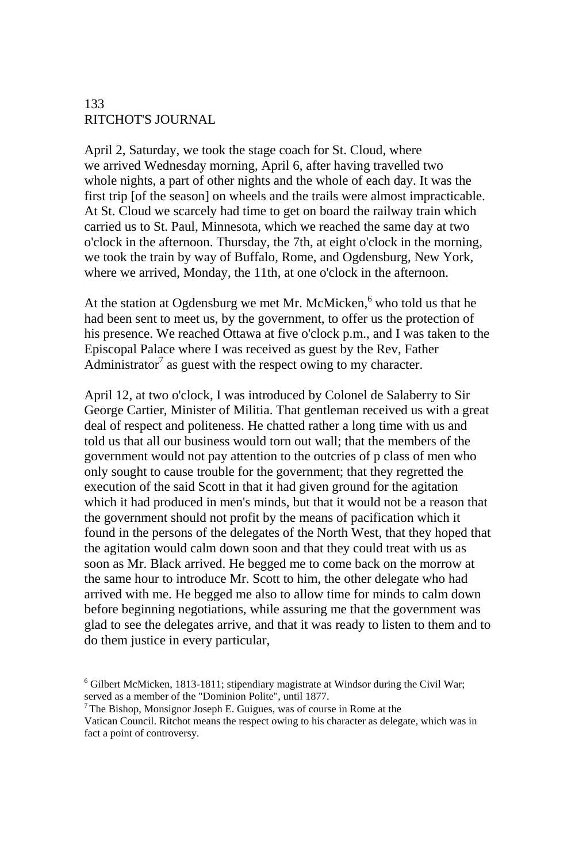April 2, Saturday, we took the stage coach for St. Cloud, where we arrived Wednesday morning, April 6, after having travelled two whole nights, a part of other nights and the whole of each day. It was the first trip [of the season] on wheels and the trails were almost impracticable. At St. Cloud we scarcely had time to get on board the railway train which carried us to St. Paul, Minnesota, which we reached the same day at two o'clock in the afternoon. Thursday, the 7th, at eight o'clock in the morning, we took the train by way of Buffalo, Rome, and Ogdensburg, New York, where we arrived, Monday, the 11th, at one o'clock in the afternoon.

At the station at Ogdensburg we met Mr. McMicken,<sup>6</sup> who told us that he had been sent to meet us, by the government, to offer us the protection of his presence. We reached Ottawa at five o'clock p.m., and I was taken to the Episcopal Palace where I was received as guest by the Rev, Father Administrator<sup>7</sup> as guest with the respect owing to my character.

April 12, at two o'clock, I was introduced by Colonel de Salaberry to Sir George Cartier, Minister of Militia. That gentleman received us with a great deal of respect and politeness. He chatted rather a long time with us and told us that all our business would torn out wall; that the members of the government would not pay attention to the outcries of p class of men who only sought to cause trouble for the government; that they regretted the execution of the said Scott in that it had given ground for the agitation which it had produced in men's minds, but that it would not be a reason that the government should not profit by the means of pacification which it found in the persons of the delegates of the North West, that they hoped that the agitation would calm down soon and that they could treat with us as soon as Mr. Black arrived. He begged me to come back on the morrow at the same hour to introduce Mr. Scott to him, the other delegate who had arrived with me. He begged me also to allow time for minds to calm down before beginning negotiations, while assuring me that the government was glad to see the delegates arrive, and that it was ready to listen to them and to do them justice in every particular,

<sup>&</sup>lt;sup>6</sup> Gilbert McMicken, 1813-1811; stipendiary magistrate at Windsor during the Civil War; served as a member of the "Dominion Polite", until 1877.<br><sup>7</sup> The Bishop, Monsignor Joseph E. Guigues, was of course in Rome at the

Vatican Council. Ritchot means the respect owing to his character as delegate, which was in fact a point of controversy.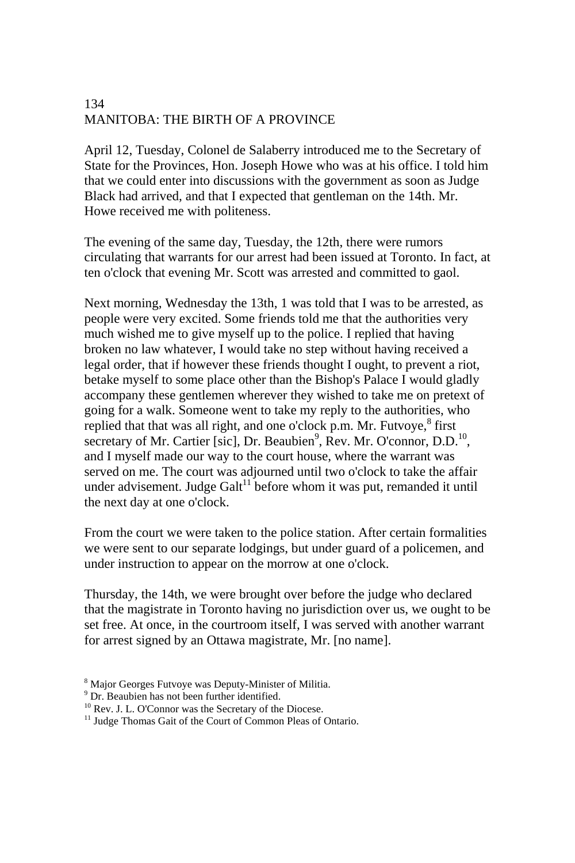April 12, Tuesday, Colonel de Salaberry introduced me to the Secretary of State for the Provinces, Hon. Joseph Howe who was at his office. I told him that we could enter into discussions with the government as soon as Judge Black had arrived, and that I expected that gentleman on the 14th. Mr. Howe received me with politeness.

The evening of the same day, Tuesday, the 12th, there were rumors circulating that warrants for our arrest had been issued at Toronto. In fact, at ten o'clock that evening Mr. Scott was arrested and committed to gaol.

Next morning, Wednesday the 13th, 1 was told that I was to be arrested, as people were very excited. Some friends told me that the authorities very much wished me to give myself up to the police. I replied that having broken no law whatever, I would take no step without having received a legal order, that if however these friends thought I ought, to prevent a riot, betake myself to some place other than the Bishop's Palace I would gladly accompany these gentlemen wherever they wished to take me on pretext of going for a walk. Someone went to take my reply to the authorities, who replied that that was all right, and one o'clock p.m. Mr. Futvoye,<sup>8</sup> first secretary of Mr. Cartier [sic], Dr. Beaubien<sup>9</sup>, Rev. Mr. O'connor, D.D.<sup>10</sup>, and I myself made our way to the court house, where the warrant was served on me. The court was adjourned until two o'clock to take the affair under advisement. Judge Galt $11$  before whom it was put, remanded it until the next day at one o'clock.

From the court we were taken to the police station. After certain formalities we were sent to our separate lodgings, but under guard of a policemen, and under instruction to appear on the morrow at one o'clock.

Thursday, the 14th, we were brought over before the judge who declared that the magistrate in Toronto having no jurisdiction over us, we ought to be set free. At once, in the courtroom itself, I was served with another warrant for arrest signed by an Ottawa magistrate, Mr. [no name].

<sup>&</sup>lt;sup>8</sup> Major Georges Futvoye was Deputy-Minister of Militia.

<sup>9</sup> Dr. Beaubien has not been further identified.

<sup>10</sup> Rev. J. L. O'Connor was the Secretary of the Diocese.

<sup>&</sup>lt;sup>11</sup> Judge Thomas Gait of the Court of Common Pleas of Ontario.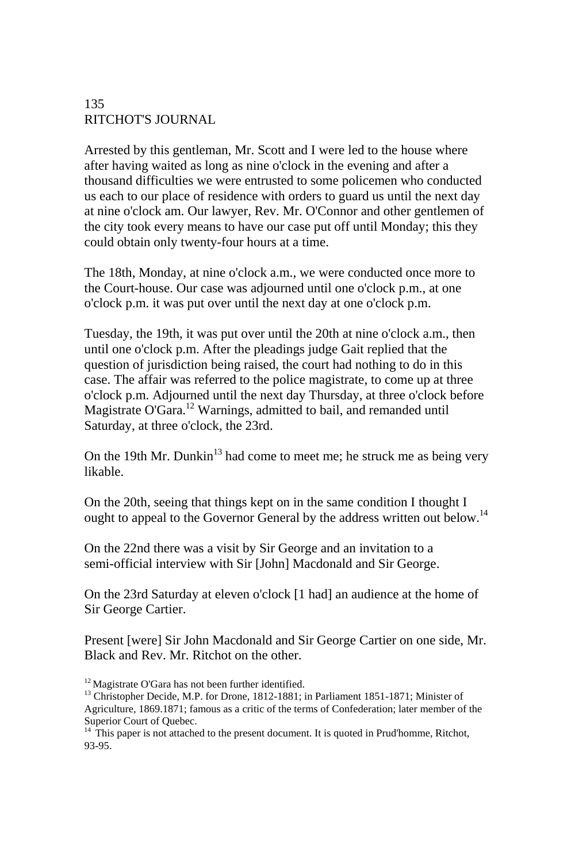Arrested by this gentleman, Mr. Scott and I were led to the house where after having waited as long as nine o'clock in the evening and after a thousand difficulties we were entrusted to some policemen who conducted us each to our place of residence with orders to guard us until the next day at nine o'clock am. Our lawyer, Rev. Mr. O'Connor and other gentlemen of the city took every means to have our case put off until Monday; this they could obtain only twenty-four hours at a time.

The 18th, Monday, at nine o'clock a.m., we were conducted once more to the Court-house. Our case was adjourned until one o'clock p.m., at one o'clock p.m. it was put over until the next day at one o'clock p.m.

Tuesday, the 19th, it was put over until the 20th at nine o'clock a.m., then until one o'clock p.m. After the pleadings judge Gait replied that the question of jurisdiction being raised, the court had nothing to do in this case. The affair was referred to the police magistrate, to come up at three o'clock p.m. Adjourned until the next day Thursday, at three o'clock before Magistrate O'Gara.<sup>12</sup> Warnings, admitted to bail, and remanded until Saturday, at three o'clock, the 23rd.

On the 19th Mr. Dunkin<sup>13</sup> had come to meet me; he struck me as being very likable.

On the 20th, seeing that things kept on in the same condition I thought I ought to appeal to the Governor General by the address written out below.<sup>14</sup>

On the 22nd there was a visit by Sir George and an invitation to a semi-official interview with Sir [John] Macdonald and Sir George.

On the 23rd Saturday at eleven o'clock [1 had] an audience at the home of Sir George Cartier.

Present [were] Sir John Macdonald and Sir George Cartier on one side, Mr. Black and Rev. Mr. Ritchot on the other.

<sup>&</sup>lt;sup>12</sup> Magistrate O'Gara has not been further identified.<br><sup>13</sup> Christopher Decide, M.P. for Drone, 1812-1881; in Parliament 1851-1871; Minister of Agriculture, 1869.1871; famous as a critic of the terms of Confederation; later member of the Superior Court of Quebec.

 $14$ <sup>14</sup> This paper is not attached to the present document. It is quoted in Prud'homme, Ritchot, 93-95.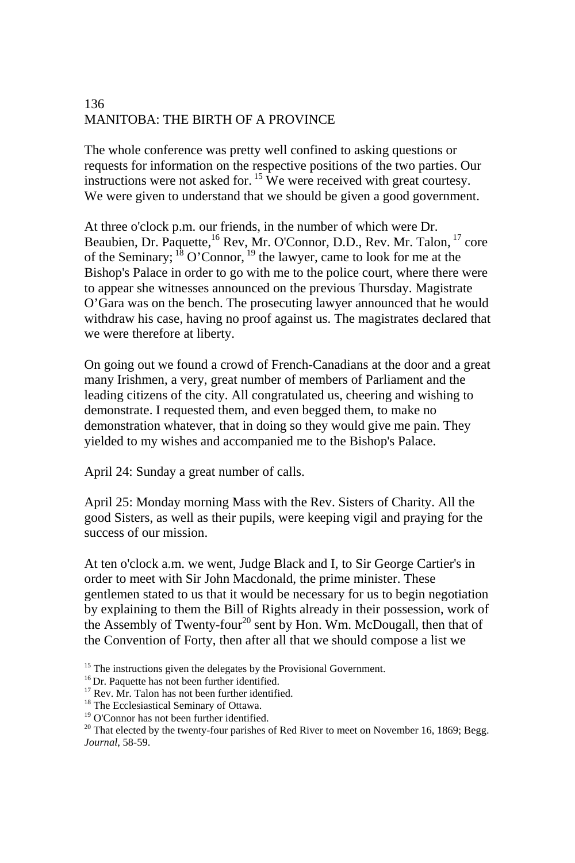The whole conference was pretty well confined to asking questions or requests for information on the respective positions of the two parties. Our instructions were not asked for.  $15$  We were received with great courtesy. We were given to understand that we should be given a good government.

At three o'clock p.m. our friends, in the number of which were Dr. Beaubien, Dr. Paquette,<sup>16</sup> Rev, Mr. O'Connor, D.D., Rev. Mr. Talon, <sup>17</sup> core of the Seminary; 18 O'Connor, 19 the lawyer, came to look for me at the Bishop's Palace in order to go with me to the police court, where there were to appear she witnesses announced on the previous Thursday. Magistrate O'Gara was on the bench. The prosecuting lawyer announced that he would withdraw his case, having no proof against us. The magistrates declared that we were therefore at liberty.

On going out we found a crowd of French-Canadians at the door and a great many Irishmen, a very, great number of members of Parliament and the leading citizens of the city. All congratulated us, cheering and wishing to demonstrate. I requested them, and even begged them, to make no demonstration whatever, that in doing so they would give me pain. They yielded to my wishes and accompanied me to the Bishop's Palace.

April 24: Sunday a great number of calls.

April 25: Monday morning Mass with the Rev. Sisters of Charity. All the good Sisters, as well as their pupils, were keeping vigil and praying for the success of our mission.

At ten o'clock a.m. we went, Judge Black and I, to Sir George Cartier's in order to meet with Sir John Macdonald, the prime minister. These gentlemen stated to us that it would be necessary for us to begin negotiation by explaining to them the Bill of Rights already in their possession, work of the Assembly of Twenty-four<sup>20</sup> sent by Hon. Wm. McDougall, then that of the Convention of Forty, then after all that we should compose a list we

<sup>&</sup>lt;sup>15</sup> The instructions given the delegates by the Provisional Government. <sup>16</sup> Dr. Paquette has not been further identified. <sup>17</sup> Rev. Mr. Talon has not been further identified.

<sup>&</sup>lt;sup>18</sup> The Ecclesiastical Seminary of Ottawa.

<sup>&</sup>lt;sup>19</sup> O'Connor has not been further identified.

<sup>&</sup>lt;sup>20</sup> That elected by the twenty-four parishes of Red River to meet on November 16, 1869; Begg. *Journal*, 58-59.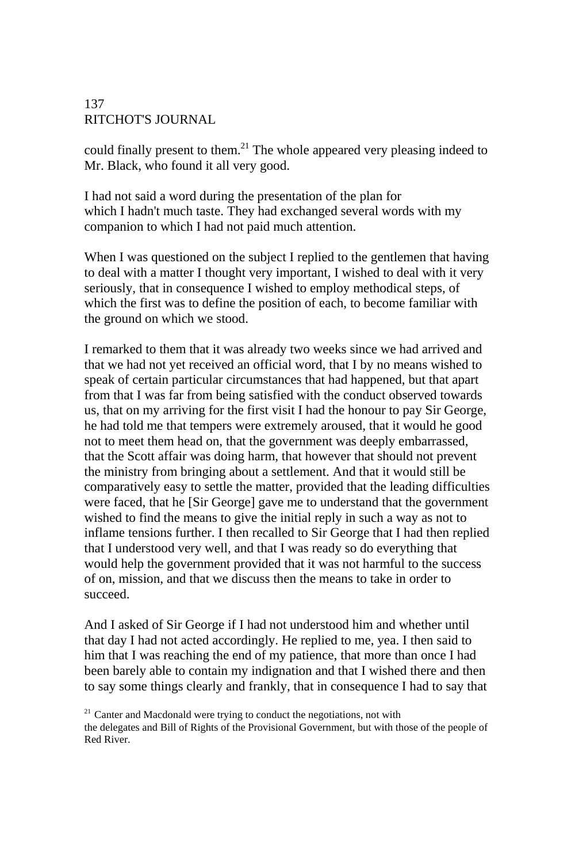could finally present to them.<sup>21</sup> The whole appeared very pleasing indeed to Mr. Black, who found it all very good.

I had not said a word during the presentation of the plan for which I hadn't much taste. They had exchanged several words with my companion to which I had not paid much attention.

When I was questioned on the subject I replied to the gentlemen that having to deal with a matter I thought very important, I wished to deal with it very seriously, that in consequence I wished to employ methodical steps, of which the first was to define the position of each, to become familiar with the ground on which we stood.

I remarked to them that it was already two weeks since we had arrived and that we had not yet received an official word, that I by no means wished to speak of certain particular circumstances that had happened, but that apart from that I was far from being satisfied with the conduct observed towards us, that on my arriving for the first visit I had the honour to pay Sir George, he had told me that tempers were extremely aroused, that it would he good not to meet them head on, that the government was deeply embarrassed, that the Scott affair was doing harm, that however that should not prevent the ministry from bringing about a settlement. And that it would still be comparatively easy to settle the matter, provided that the leading difficulties were faced, that he [Sir George] gave me to understand that the government wished to find the means to give the initial reply in such a way as not to inflame tensions further. I then recalled to Sir George that I had then replied that I understood very well, and that I was ready so do everything that would help the government provided that it was not harmful to the success of on, mission, and that we discuss then the means to take in order to succeed.

And I asked of Sir George if I had not understood him and whether until that day I had not acted accordingly. He replied to me, yea. I then said to him that I was reaching the end of my patience, that more than once I had been barely able to contain my indignation and that I wished there and then to say some things clearly and frankly, that in consequence I had to say that

 $21$  Canter and Macdonald were trying to conduct the negotiations, not with the delegates and Bill of Rights of the Provisional Government, but with those of the people of Red River.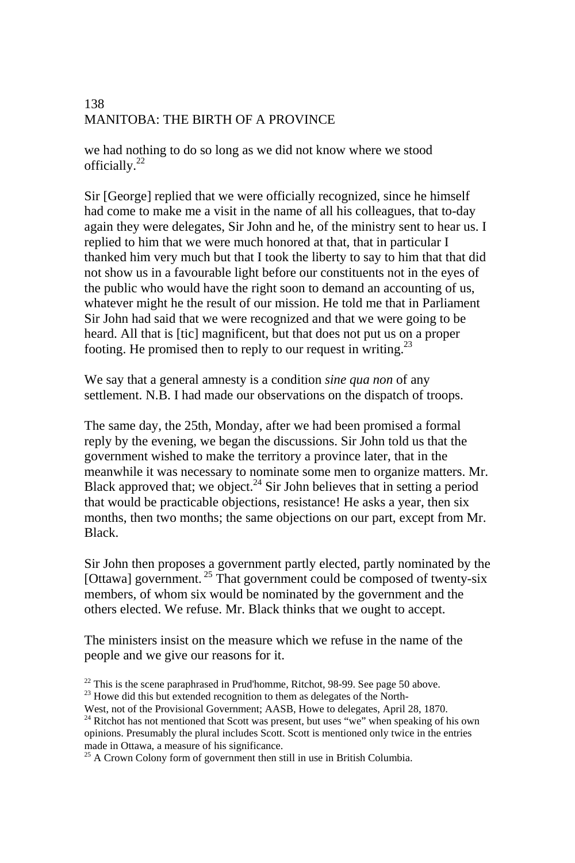we had nothing to do so long as we did not know where we stood officially.<sup>22</sup>

Sir [George] replied that we were officially recognized, since he himself had come to make me a visit in the name of all his colleagues, that to-day again they were delegates, Sir John and he, of the ministry sent to hear us. I replied to him that we were much honored at that, that in particular I thanked him very much but that I took the liberty to say to him that that did not show us in a favourable light before our constituents not in the eyes of the public who would have the right soon to demand an accounting of us, whatever might he the result of our mission. He told me that in Parliament Sir John had said that we were recognized and that we were going to be heard. All that is [tic] magnificent, but that does not put us on a proper footing. He promised then to reply to our request in writing. $^{23}$ 

We say that a general amnesty is a condition *sine qua non* of any settlement. N.B. I had made our observations on the dispatch of troops.

The same day, the 25th, Monday, after we had been promised a formal reply by the evening, we began the discussions. Sir John told us that the government wished to make the territory a province later, that in the meanwhile it was necessary to nominate some men to organize matters. Mr. Black approved that; we object.<sup>24</sup> Sir John believes that in setting a period that would be practicable objections, resistance! He asks a year, then six months, then two months; the same objections on our part, except from Mr. Black.

Sir John then proposes a government partly elected, partly nominated by the [Ottawa] government.  $^{25}$  That government could be composed of twenty-six members, of whom six would be nominated by the government and the others elected. We refuse. Mr. Black thinks that we ought to accept.

The ministers insist on the measure which we refuse in the name of the people and we give our reasons for it.

 $^{25}$  A Crown Colony form of government then still in use in British Columbia.

<sup>&</sup>lt;sup>22</sup> This is the scene paraphrased in Prud'homme, Ritchot, 98-99. See page 50 above.<br><sup>23</sup> Howe did this but extended recognition to them as delegates of the North-West, not of the Provisional Government; AASB, Howe to del

<sup>&</sup>lt;sup>24</sup> Ritchot has not mentioned that Scott was present, but uses "we" when speaking of his own

opinions. Presumably the plural includes Scott. Scott is mentioned only twice in the entries made in Ottawa, a measure of his significance.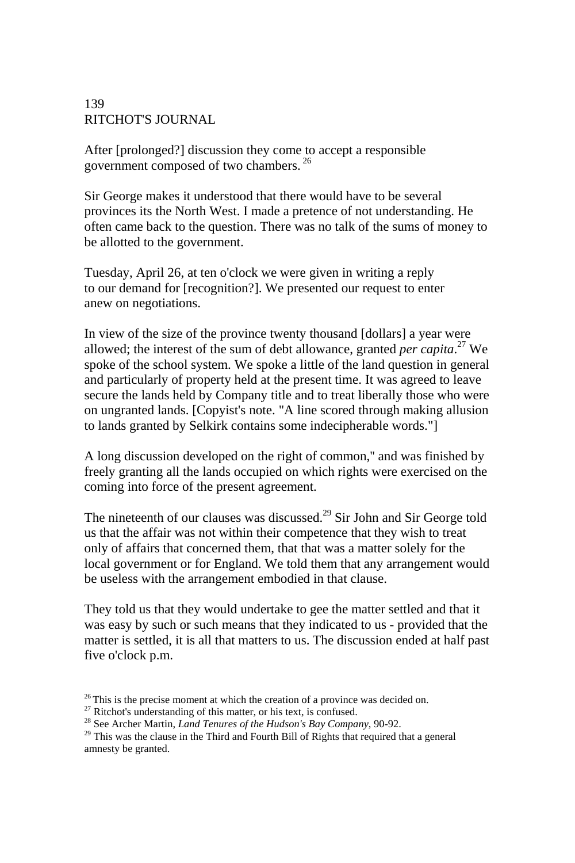After [prolonged?] discussion they come to accept a responsible government composed of two chambers.<sup>26</sup>

Sir George makes it understood that there would have to be several provinces its the North West. I made a pretence of not understanding. He often came back to the question. There was no talk of the sums of money to be allotted to the government.

Tuesday, April 26, at ten o'clock we were given in writing a reply to our demand for [recognition?]. We presented our request to enter anew on negotiations.

In view of the size of the province twenty thousand [dollars] a year were allowed; the interest of the sum of debt allowance, granted *per capita*. 27 We spoke of the school system. We spoke a little of the land question in general and particularly of property held at the present time. It was agreed to leave secure the lands held by Company title and to treat liberally those who were on ungranted lands. [Copyist's note. "A line scored through making allusion to lands granted by Selkirk contains some indecipherable words."]

A long discussion developed on the right of common,'' and was finished by freely granting all the lands occupied on which rights were exercised on the coming into force of the present agreement.

The nineteenth of our clauses was discussed.<sup>29</sup> Sir John and Sir George told us that the affair was not within their competence that they wish to treat only of affairs that concerned them, that that was a matter solely for the local government or for England. We told them that any arrangement would be useless with the arrangement embodied in that clause.

They told us that they would undertake to gee the matter settled and that it was easy by such or such means that they indicated to us - provided that the matter is settled, it is all that matters to us. The discussion ended at half past five o'clock p.m.

<sup>&</sup>lt;sup>26</sup> This is the precise moment at which the creation of a province was decided on.<br><sup>27</sup> Ritchot's understanding of this matter, or his text, is confused.<br><sup>28</sup> See Archer Martin, *Land Tenures of the Hudson's Bay Company* 

amnesty be granted.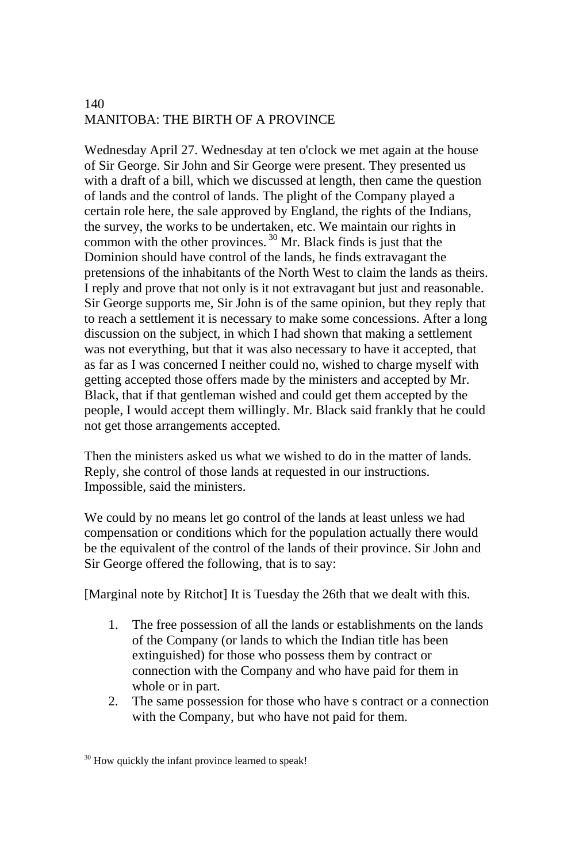Wednesday April 27. Wednesday at ten o'clock we met again at the house of Sir George. Sir John and Sir George were present. They presented us with a draft of a bill, which we discussed at length, then came the question of lands and the control of lands. The plight of the Company played a certain role here, the sale approved by England, the rights of the Indians, the survey, the works to be undertaken, etc. We maintain our rights in common with the other provinces. 30 Mr. Black finds is just that the Dominion should have control of the lands, he finds extravagant the pretensions of the inhabitants of the North West to claim the lands as theirs. I reply and prove that not only is it not extravagant but just and reasonable. Sir George supports me, Sir John is of the same opinion, but they reply that to reach a settlement it is necessary to make some concessions. After a long discussion on the subject, in which I had shown that making a settlement was not everything, but that it was also necessary to have it accepted, that as far as I was concerned I neither could no, wished to charge myself with getting accepted those offers made by the ministers and accepted by Mr. Black, that if that gentleman wished and could get them accepted by the people, I would accept them willingly. Mr. Black said frankly that he could not get those arrangements accepted.

Then the ministers asked us what we wished to do in the matter of lands. Reply, she control of those lands at requested in our instructions. Impossible, said the ministers.

We could by no means let go control of the lands at least unless we had compensation or conditions which for the population actually there would be the equivalent of the control of the lands of their province. Sir John and Sir George offered the following, that is to say:

[Marginal note by Ritchot] It is Tuesday the 26th that we dealt with this.

- 1. The free possession of all the lands or establishments on the lands of the Company (or lands to which the Indian title has been extinguished) for those who possess them by contract or connection with the Company and who have paid for them in whole or in part.
- 2. The same possession for those who have s contract or a connection with the Company, but who have not paid for them.

<sup>&</sup>lt;sup>30</sup> How quickly the infant province learned to speak!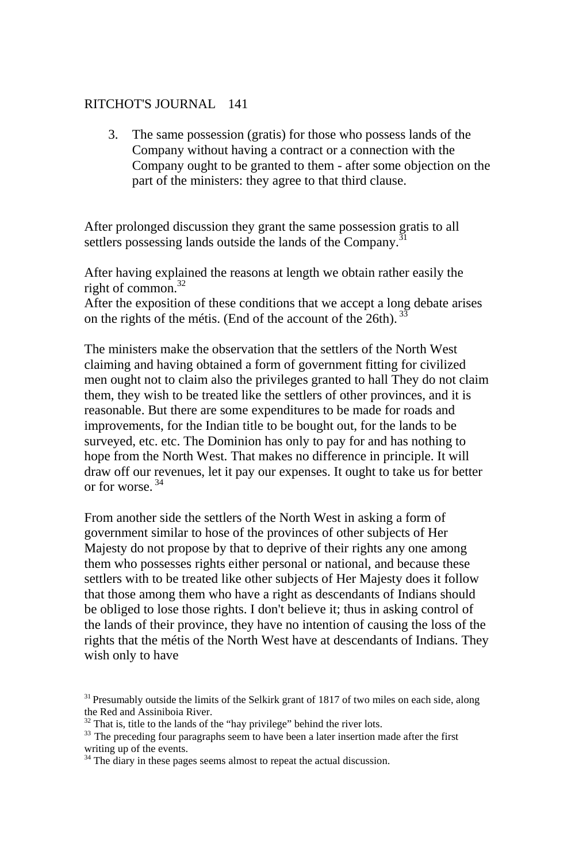3. The same possession (gratis) for those who possess lands of the Company without having a contract or a connection with the Company ought to be granted to them - after some objection on the part of the ministers: they agree to that third clause.

After prolonged discussion they grant the same possession gratis to all settlers possessing lands outside the lands of the Company.<sup>31</sup>

After having explained the reasons at length we obtain rather easily the right of common. $32$ 

After the exposition of these conditions that we accept a long debate arises on the rights of the métis. (End of the account of the 26th).  $33$ 

The ministers make the observation that the settlers of the North West claiming and having obtained a form of government fitting for civilized men ought not to claim also the privileges granted to hall They do not claim them, they wish to be treated like the settlers of other provinces, and it is reasonable. But there are some expenditures to be made for roads and improvements, for the Indian title to be bought out, for the lands to be surveyed, etc. etc. The Dominion has only to pay for and has nothing to hope from the North West. That makes no difference in principle. It will draw off our revenues, let it pay our expenses. It ought to take us for better or for worse.<sup>34</sup>

From another side the settlers of the North West in asking a form of government similar to hose of the provinces of other subjects of Her Majesty do not propose by that to deprive of their rights any one among them who possesses rights either personal or national, and because these settlers with to be treated like other subjects of Her Majesty does it follow that those among them who have a right as descendants of Indians should be obliged to lose those rights. I don't believe it; thus in asking control of the lands of their province, they have no intention of causing the loss of the rights that the métis of the North West have at descendants of Indians. They wish only to have

 $31$  Presumably outside the limits of the Selkirk grant of 1817 of two miles on each side, along the Red and Assiniboia River.<br><sup>32</sup> That is, title to the lands of the "hay privilege" behind the river lots.

<sup>&</sup>lt;sup>33</sup> The preceding four paragraphs seem to have been a later insertion made after the first writing up of the events.

<sup>&</sup>lt;sup>34</sup> The diary in these pages seems almost to repeat the actual discussion.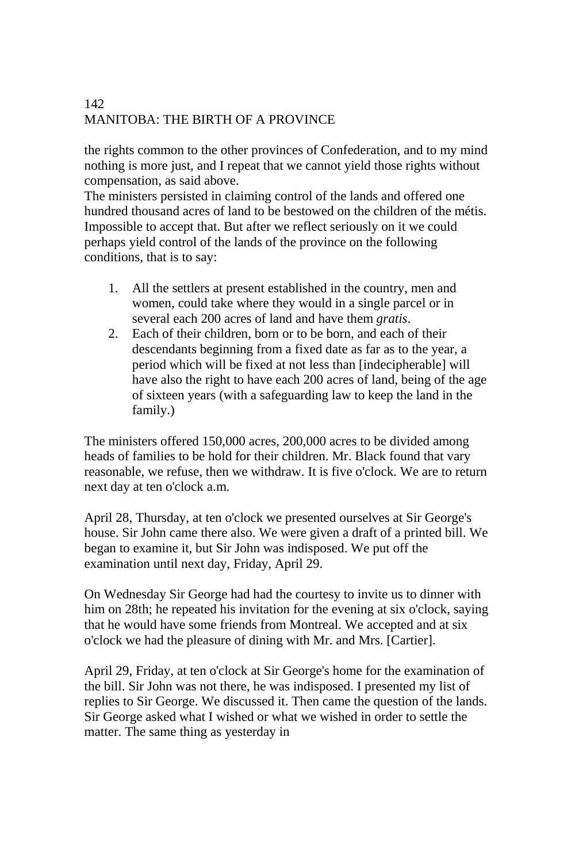the rights common to the other provinces of Confederation, and to my mind nothing is more just, and I repeat that we cannot yield those rights without compensation, as said above.

The ministers persisted in claiming control of the lands and offered one hundred thousand acres of land to be bestowed on the children of the métis. Impossible to accept that. But after we reflect seriously on it we could perhaps yield control of the lands of the province on the following conditions, that is to say:

- 1. All the settlers at present established in the country, men and women, could take where they would in a single parcel or in several each 200 acres of land and have them *gratis*.
- 2. Each of their children, born or to be born, and each of their descendants beginning from a fixed date as far as to the year, a period which will be fixed at not less than [indecipherable] will have also the right to have each 200 acres of land, being of the age of sixteen years (with a safeguarding law to keep the land in the family.)

The ministers offered 150,000 acres, 200,000 acres to be divided among heads of families to be hold for their children. Mr. Black found that vary reasonable, we refuse, then we withdraw. It is five o'clock. We are to return next day at ten o'clock a.m.

April 28, Thursday, at ten o'clock we presented ourselves at Sir George's house. Sir John came there also. We were given a draft of a printed bill. We began to examine it, but Sir John was indisposed. We put off the examination until next day, Friday, April 29.

On Wednesday Sir George had had the courtesy to invite us to dinner with him on 28th; he repeated his invitation for the evening at six o'clock, saying that he would have some friends from Montreal. We accepted and at six o'clock we had the pleasure of dining with Mr. and Mrs. [Cartier].

April 29, Friday, at ten o'clock at Sir George's home for the examination of the bill. Sir John was not there, he was indisposed. I presented my list of replies to Sir George. We discussed it. Then came the question of the lands. Sir George asked what I wished or what we wished in order to settle the matter. The same thing as yesterday in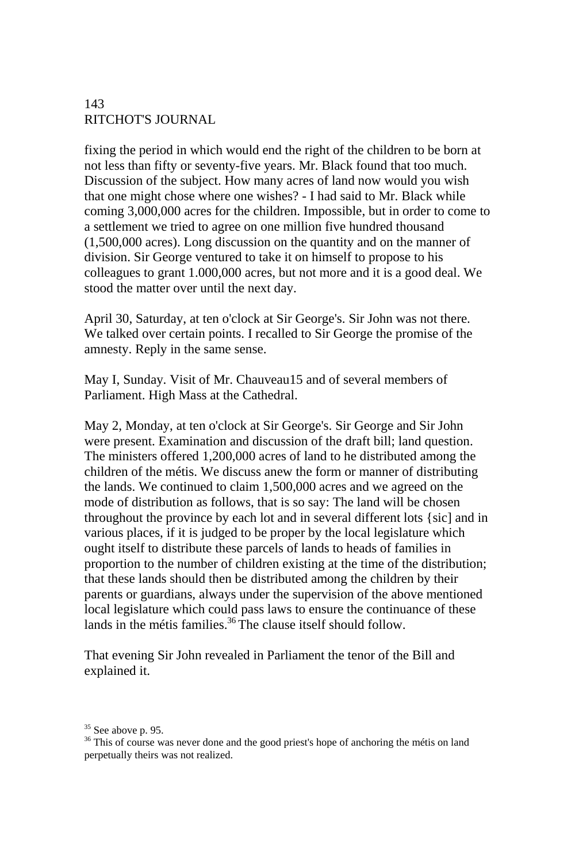fixing the period in which would end the right of the children to be born at not less than fifty or seventy-five years. Mr. Black found that too much. Discussion of the subject. How many acres of land now would you wish that one might chose where one wishes? - I had said to Mr. Black while coming 3,000,000 acres for the children. Impossible, but in order to come to a settlement we tried to agree on one million five hundred thousand (1,500,000 acres). Long discussion on the quantity and on the manner of division. Sir George ventured to take it on himself to propose to his colleagues to grant 1.000,000 acres, but not more and it is a good deal. We stood the matter over until the next day.

April 30, Saturday, at ten o'clock at Sir George's. Sir John was not there. We talked over certain points. I recalled to Sir George the promise of the amnesty. Reply in the same sense.

May I, Sunday. Visit of Mr. Chauveau15 and of several members of Parliament. High Mass at the Cathedral.

May 2, Monday, at ten o'clock at Sir George's. Sir George and Sir John were present. Examination and discussion of the draft bill; land question. The ministers offered 1,200,000 acres of land to he distributed among the children of the métis. We discuss anew the form or manner of distributing the lands. We continued to claim 1,500,000 acres and we agreed on the mode of distribution as follows, that is so say: The land will be chosen throughout the province by each lot and in several different lots {sic] and in various places, if it is judged to be proper by the local legislature which ought itself to distribute these parcels of lands to heads of families in proportion to the number of children existing at the time of the distribution; that these lands should then be distributed among the children by their parents or guardians, always under the supervision of the above mentioned local legislature which could pass laws to ensure the continuance of these lands in the métis families.<sup>36</sup> The clause itself should follow.

That evening Sir John revealed in Parliament the tenor of the Bill and explained it.

<sup>&</sup>lt;sup>35</sup> See above p. 95.

<sup>&</sup>lt;sup>36</sup> This of course was never done and the good priest's hope of anchoring the métis on land perpetually theirs was not realized.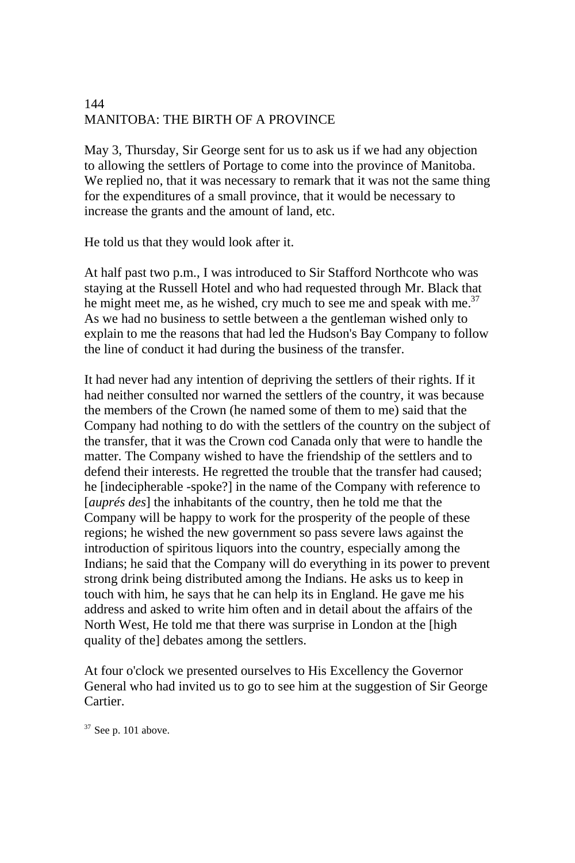May 3, Thursday, Sir George sent for us to ask us if we had any objection to allowing the settlers of Portage to come into the province of Manitoba. We replied no, that it was necessary to remark that it was not the same thing for the expenditures of a small province, that it would be necessary to increase the grants and the amount of land, etc.

He told us that they would look after it.

At half past two p.m., I was introduced to Sir Stafford Northcote who was staying at the Russell Hotel and who had requested through Mr. Black that he might meet me, as he wished, cry much to see me and speak with me.<sup>37</sup> As we had no business to settle between a the gentleman wished only to explain to me the reasons that had led the Hudson's Bay Company to follow the line of conduct it had during the business of the transfer.

It had never had any intention of depriving the settlers of their rights. If it had neither consulted nor warned the settlers of the country, it was because the members of the Crown (he named some of them to me) said that the Company had nothing to do with the settlers of the country on the subject of the transfer, that it was the Crown cod Canada only that were to handle the matter. The Company wished to have the friendship of the settlers and to defend their interests. He regretted the trouble that the transfer had caused; he [indecipherable -spoke?] in the name of the Company with reference to [*auprés des*] the inhabitants of the country, then he told me that the Company will be happy to work for the prosperity of the people of these regions; he wished the new government so pass severe laws against the introduction of spiritous liquors into the country, especially among the Indians; he said that the Company will do everything in its power to prevent strong drink being distributed among the Indians. He asks us to keep in touch with him, he says that he can help its in England. He gave me his address and asked to write him often and in detail about the affairs of the North West, He told me that there was surprise in London at the [high quality of the] debates among the settlers.

At four o'clock we presented ourselves to His Excellency the Governor General who had invited us to go to see him at the suggestion of Sir George Cartier.

 $37$  See p. 101 above.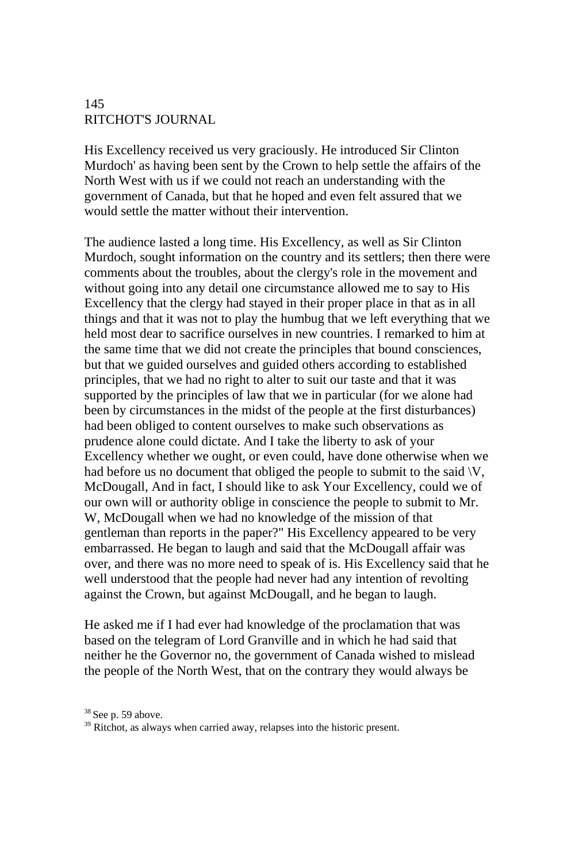His Excellency received us very graciously. He introduced Sir Clinton Murdoch' as having been sent by the Crown to help settle the affairs of the North West with us if we could not reach an understanding with the government of Canada, but that he hoped and even felt assured that we would settle the matter without their intervention.

The audience lasted a long time. His Excellency, as well as Sir Clinton Murdoch, sought information on the country and its settlers; then there were comments about the troubles, about the clergy's role in the movement and without going into any detail one circumstance allowed me to say to His Excellency that the clergy had stayed in their proper place in that as in all things and that it was not to play the humbug that we left everything that we held most dear to sacrifice ourselves in new countries. I remarked to him at the same time that we did not create the principles that bound consciences, but that we guided ourselves and guided others according to established principles, that we had no right to alter to suit our taste and that it was supported by the principles of law that we in particular (for we alone had been by circumstances in the midst of the people at the first disturbances) had been obliged to content ourselves to make such observations as prudence alone could dictate. And I take the liberty to ask of your Excellency whether we ought, or even could, have done otherwise when we had before us no document that obliged the people to submit to the said  $\forall V$ , McDougall, And in fact, I should like to ask Your Excellency, could we of our own will or authority oblige in conscience the people to submit to Mr. W, McDougall when we had no knowledge of the mission of that gentleman than reports in the paper?" His Excellency appeared to be very embarrassed. He began to laugh and said that the McDougall affair was over, and there was no more need to speak of is. His Excellency said that he well understood that the people had never had any intention of revolting against the Crown, but against McDougall, and he began to laugh.

He asked me if I had ever had knowledge of the proclamation that was based on the telegram of Lord Granville and in which he had said that neither he the Governor no, the government of Canada wished to mislead the people of the North West, that on the contrary they would always be

 $38$  See p. 59 above.<br> $39$  Ritchot, as always when carried away, relapses into the historic present.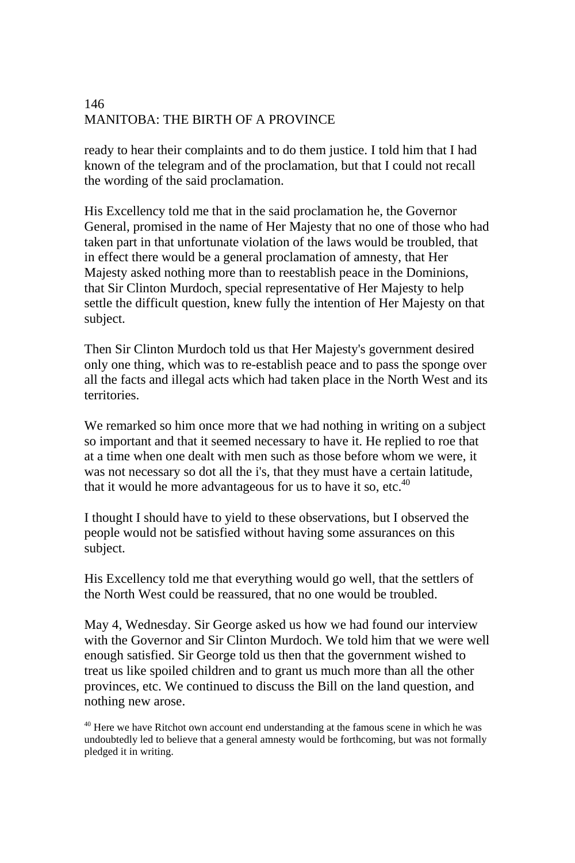ready to hear their complaints and to do them justice. I told him that I had known of the telegram and of the proclamation, but that I could not recall the wording of the said proclamation.

His Excellency told me that in the said proclamation he, the Governor General, promised in the name of Her Majesty that no one of those who had taken part in that unfortunate violation of the laws would be troubled, that in effect there would be a general proclamation of amnesty, that Her Majesty asked nothing more than to reestablish peace in the Dominions, that Sir Clinton Murdoch, special representative of Her Majesty to help settle the difficult question, knew fully the intention of Her Majesty on that subject.

Then Sir Clinton Murdoch told us that Her Majesty's government desired only one thing, which was to re-establish peace and to pass the sponge over all the facts and illegal acts which had taken place in the North West and its territories.

We remarked so him once more that we had nothing in writing on a subject so important and that it seemed necessary to have it. He replied to roe that at a time when one dealt with men such as those before whom we were, it was not necessary so dot all the i's, that they must have a certain latitude, that it would he more advantageous for us to have it so, etc. $40$ 

I thought I should have to yield to these observations, but I observed the people would not be satisfied without having some assurances on this subject.

His Excellency told me that everything would go well, that the settlers of the North West could be reassured, that no one would be troubled.

May 4, Wednesday. Sir George asked us how we had found our interview with the Governor and Sir Clinton Murdoch. We told him that we were well enough satisfied. Sir George told us then that the government wished to treat us like spoiled children and to grant us much more than all the other provinces, etc. We continued to discuss the Bill on the land question, and nothing new arose.

<sup>&</sup>lt;sup>40</sup> Here we have Ritchot own account end understanding at the famous scene in which he was undoubtedly led to believe that a general amnesty would be forthcoming, but was not formally pledged it in writing.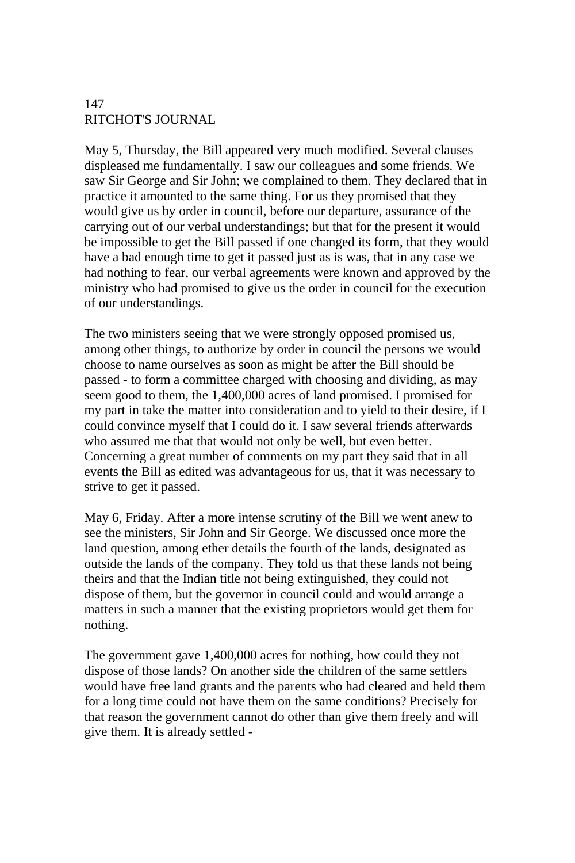May 5, Thursday, the Bill appeared very much modified. Several clauses displeased me fundamentally. I saw our colleagues and some friends. We saw Sir George and Sir John; we complained to them. They declared that in practice it amounted to the same thing. For us they promised that they would give us by order in council, before our departure, assurance of the carrying out of our verbal understandings; but that for the present it would be impossible to get the Bill passed if one changed its form, that they would have a bad enough time to get it passed just as is was, that in any case we had nothing to fear, our verbal agreements were known and approved by the ministry who had promised to give us the order in council for the execution of our understandings.

The two ministers seeing that we were strongly opposed promised us, among other things, to authorize by order in council the persons we would choose to name ourselves as soon as might be after the Bill should be passed - to form a committee charged with choosing and dividing, as may seem good to them, the 1,400,000 acres of land promised. I promised for my part in take the matter into consideration and to yield to their desire, if I could convince myself that I could do it. I saw several friends afterwards who assured me that that would not only be well, but even better. Concerning a great number of comments on my part they said that in all events the Bill as edited was advantageous for us, that it was necessary to strive to get it passed.

May 6, Friday. After a more intense scrutiny of the Bill we went anew to see the ministers, Sir John and Sir George. We discussed once more the land question, among ether details the fourth of the lands, designated as outside the lands of the company. They told us that these lands not being theirs and that the Indian title not being extinguished, they could not dispose of them, but the governor in council could and would arrange a matters in such a manner that the existing proprietors would get them for nothing.

The government gave 1,400,000 acres for nothing, how could they not dispose of those lands? On another side the children of the same settlers would have free land grants and the parents who had cleared and held them for a long time could not have them on the same conditions? Precisely for that reason the government cannot do other than give them freely and will give them. It is already settled -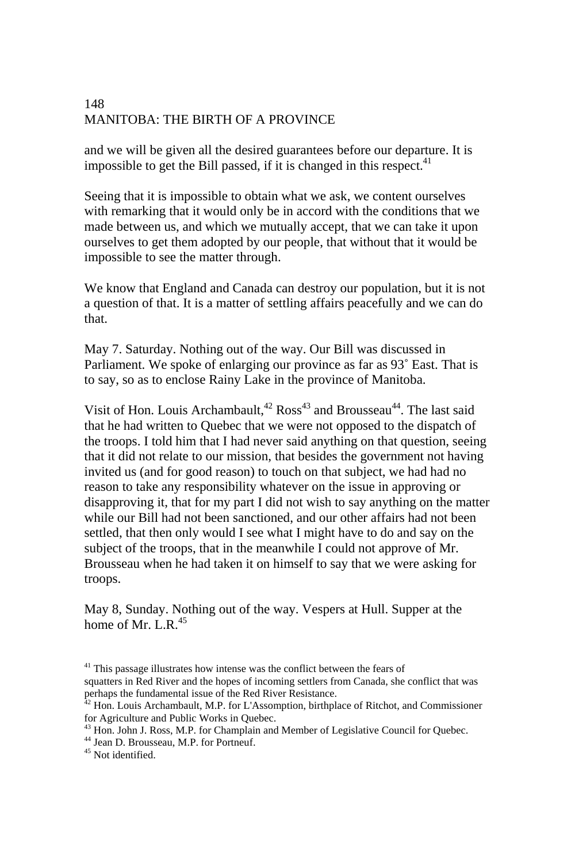and we will be given all the desired guarantees before our departure. It is impossible to get the Bill passed, if it is changed in this respect.<sup>41</sup>

Seeing that it is impossible to obtain what we ask, we content ourselves with remarking that it would only be in accord with the conditions that we made between us, and which we mutually accept, that we can take it upon ourselves to get them adopted by our people, that without that it would be impossible to see the matter through.

We know that England and Canada can destroy our population, but it is not a question of that. It is a matter of settling affairs peacefully and we can do that.

May 7. Saturday. Nothing out of the way. Our Bill was discussed in Parliament. We spoke of enlarging our province as far as 93˚ East. That is to say, so as to enclose Rainy Lake in the province of Manitoba.

Visit of Hon. Louis Archambault,<sup>42</sup> Ross<sup>43</sup> and Brousseau<sup>44</sup>. The last said that he had written to Quebec that we were not opposed to the dispatch of the troops. I told him that I had never said anything on that question, seeing that it did not relate to our mission, that besides the government not having invited us (and for good reason) to touch on that subject, we had had no reason to take any responsibility whatever on the issue in approving or disapproving it, that for my part I did not wish to say anything on the matter while our Bill had not been sanctioned, and our other affairs had not been settled, that then only would I see what I might have to do and say on the subject of the troops, that in the meanwhile I could not approve of Mr. Brousseau when he had taken it on himself to say that we were asking for troops.

May 8, Sunday. Nothing out of the way. Vespers at Hull. Supper at the home of Mr. L.R. $45$ 

 $41$ <sup>41</sup> This passage illustrates how intense was the conflict between the fears of squatters in Red River and the hopes of incoming settlers from Canada, she conflict that was perhaps the fundamental issue of the Red River Resistance.

<sup>&</sup>lt;sup>42</sup> Hon. Louis Archambault, M.P. for L'Assomption, birthplace of Ritchot, and Commissioner for Agriculture and Public Works in Quebec.<br><sup>43</sup> Hon. John J. Ross, M.P. for Champlain and Member of Legislative Council for Quebec.<br><sup>44</sup> Jean D. Brousseau, M.P. for Portneuf.

<sup>45</sup> Not identified.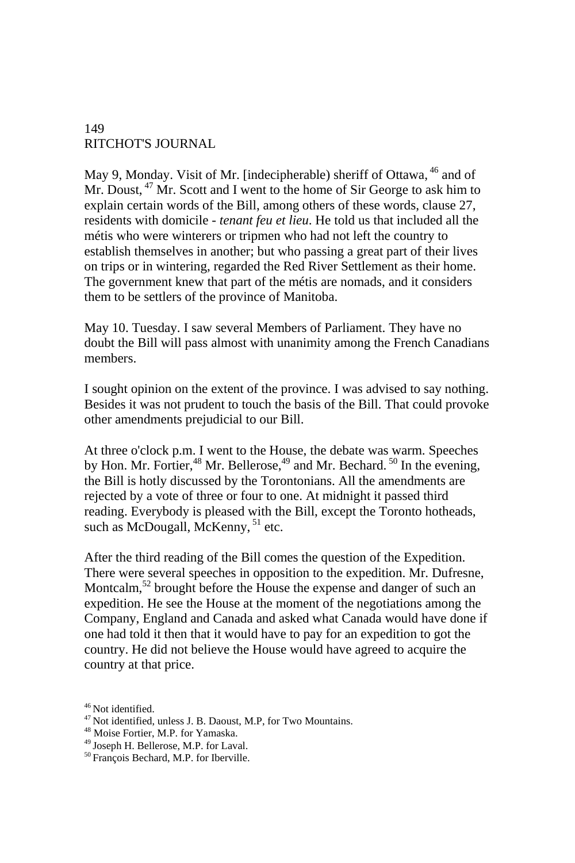May 9, Monday. Visit of Mr. [indecipherable) sheriff of Ottawa, <sup>46</sup> and of Mr. Doust,  $47$  Mr. Scott and I went to the home of Sir George to ask him to explain certain words of the Bill, among others of these words, clause 27, residents with domicile - *tenant feu et lieu*. He told us that included all the métis who were winterers or tripmen who had not left the country to establish themselves in another; but who passing a great part of their lives on trips or in wintering, regarded the Red River Settlement as their home. The government knew that part of the métis are nomads, and it considers them to be settlers of the province of Manitoba.

May 10. Tuesday. I saw several Members of Parliament. They have no doubt the Bill will pass almost with unanimity among the French Canadians members.

I sought opinion on the extent of the province. I was advised to say nothing. Besides it was not prudent to touch the basis of the Bill. That could provoke other amendments prejudicial to our Bill.

At three o'clock p.m. I went to the House, the debate was warm. Speeches by Hon. Mr. Fortier,<sup>48</sup> Mr. Bellerose,<sup>49</sup> and Mr. Bechard. <sup>50</sup> In the evening, the Bill is hotly discussed by the Torontonians. All the amendments are rejected by a vote of three or four to one. At midnight it passed third reading. Everybody is pleased with the Bill, except the Toronto hotheads, such as McDougall, McKenny, <sup>51</sup> etc.

After the third reading of the Bill comes the question of the Expedition. There were several speeches in opposition to the expedition. Mr. Dufresne, Montcalm,<sup>52</sup> brought before the House the expense and danger of such an expedition. He see the House at the moment of the negotiations among the Company, England and Canada and asked what Canada would have done if one had told it then that it would have to pay for an expedition to got the country. He did not believe the House would have agreed to acquire the country at that price.

<sup>&</sup>lt;sup>46</sup> Not identified.  $47$  Not identified, unless J. B. Daoust, M.P, for Two Mountains.  $48$  Moise Fortier, M.P. for Yamaska.

 $^{49}$  Joseph H. Bellerose, M.P. for Laval.<br> $^{50}$  François Bechard, M.P. for Iberville.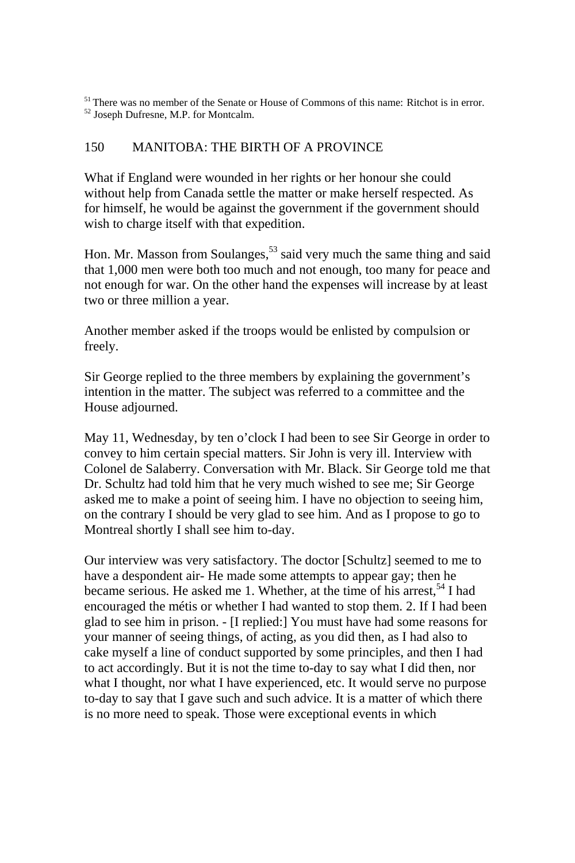<sup>51</sup> There was no member of the Senate or House of Commons of this name: Ritchot is in error.  $52$  Joseph Dufresne, M.P. for Montcalm.

#### 150 MANITOBA: THE BIRTH OF A PROVINCE

What if England were wounded in her rights or her honour she could without help from Canada settle the matter or make herself respected. As for himself, he would be against the government if the government should wish to charge itself with that expedition.

Hon. Mr. Masson from Soulanges,<sup>53</sup> said very much the same thing and said that 1,000 men were both too much and not enough, too many for peace and not enough for war. On the other hand the expenses will increase by at least two or three million a year.

Another member asked if the troops would be enlisted by compulsion or freely.

Sir George replied to the three members by explaining the government's intention in the matter. The subject was referred to a committee and the House adjourned.

May 11, Wednesday, by ten o'clock I had been to see Sir George in order to convey to him certain special matters. Sir John is very ill. Interview with Colonel de Salaberry. Conversation with Mr. Black. Sir George told me that Dr. Schultz had told him that he very much wished to see me; Sir George asked me to make a point of seeing him. I have no objection to seeing him, on the contrary I should be very glad to see him. And as I propose to go to Montreal shortly I shall see him to-day.

Our interview was very satisfactory. The doctor [Schultz] seemed to me to have a despondent air- He made some attempts to appear gay; then he became serious. He asked me 1. Whether, at the time of his arrest,  $54$  I had encouraged the métis or whether I had wanted to stop them. 2. If I had been glad to see him in prison. - [I replied:] You must have had some reasons for your manner of seeing things, of acting, as you did then, as I had also to cake myself a line of conduct supported by some principles, and then I had to act accordingly. But it is not the time to-day to say what I did then, nor what I thought, nor what I have experienced, etc. It would serve no purpose to-day to say that I gave such and such advice. It is a matter of which there is no more need to speak. Those were exceptional events in which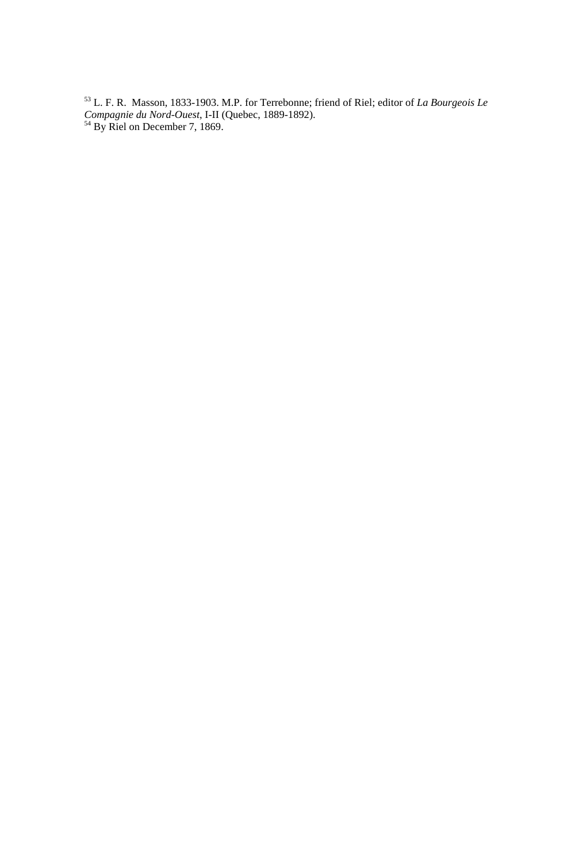53 L. F. R. Masson, 1833-1903. M.P. for Terrebonne; friend of Riel; editor of *La Bourgeois Le Compagnie du Nord-Ouest*, I-II (Quebec, 1889-1892).<br><sup>54</sup> By Riel on December 7, 1869.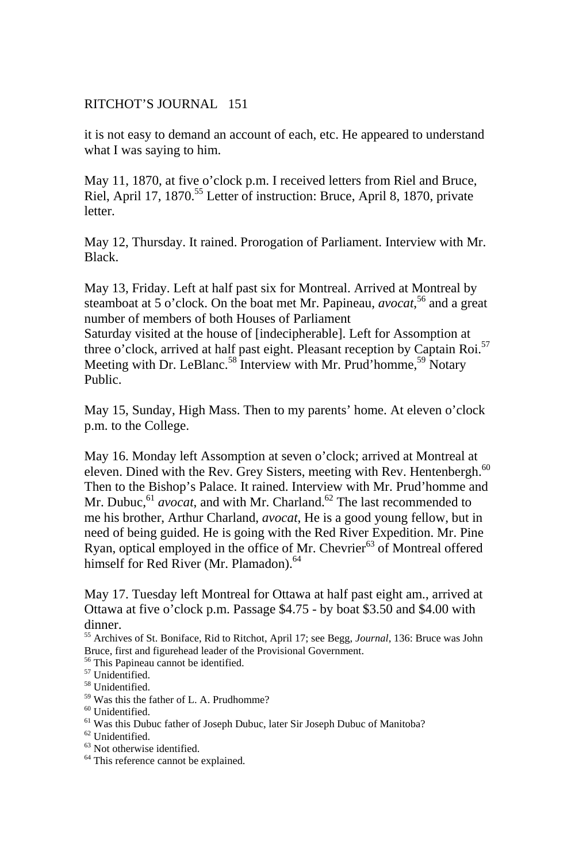it is not easy to demand an account of each, etc. He appeared to understand what I was saying to him.

May 11, 1870, at five o'clock p.m. I received letters from Riel and Bruce, Riel, April 17, 1870.<sup>55</sup> Letter of instruction: Bruce, April 8, 1870, private letter.

May 12, Thursday. It rained. Prorogation of Parliament. Interview with Mr. Black.

May 13, Friday. Left at half past six for Montreal. Arrived at Montreal by steamboat at 5 o'clock. On the boat met Mr. Papineau, *avocat*, 56 and a great number of members of both Houses of Parliament

Saturday visited at the house of [indecipherable]. Left for Assomption at three o'clock, arrived at half past eight. Pleasant reception by Captain Roi.<sup>57</sup> Meeting with Dr. LeBlanc.<sup>58</sup> Interview with Mr. Prud'homme,<sup>59</sup> Notary Public.

May 15, Sunday, High Mass. Then to my parents' home. At eleven o'clock p.m. to the College.

May 16. Monday left Assomption at seven o'clock; arrived at Montreal at eleven. Dined with the Rev. Grey Sisters, meeting with Rev. Hentenbergh.<sup>60</sup> Then to the Bishop's Palace. It rained. Interview with Mr. Prud'homme and Mr. Dubuc, <sup>61</sup> *avocat*, and with Mr. Charland.<sup>62</sup> The last recommended to me his brother, Arthur Charland, *avocat*, He is a good young fellow, but in need of being guided. He is going with the Red River Expedition. Mr. Pine Ryan, optical employed in the office of Mr. Chevrier $^{63}$  of Montreal offered himself for Red River (Mr. Plamadon).<sup>64</sup>

May 17. Tuesday left Montreal for Ottawa at half past eight am., arrived at Ottawa at five o'clock p.m. Passage \$4.75 - by boat \$3.50 and \$4.00 with dinner.

55 Archives of St. Boniface, Rid to Ritchot, April 17; see Begg, *Journal*, 136: Bruce was John Bruce, first and figurehead leader of the Provisional Government.

56 This Papineau cannot be identified.

- <sup>63</sup> Not otherwise identified.
- <sup>64</sup> This reference cannot be explained.

<sup>&</sup>lt;sup>57</sup> Unidentified.

<sup>58</sup> Unidentified.

<sup>59</sup> Was this the father of L. A. Prudhomme?

<sup>&</sup>lt;sup>60</sup> Unidentified.

 $^{61}$  Was this Dubuc father of Joseph Dubuc, later Sir Joseph Dubuc of Manitoba? $^{62}$  Unidentified.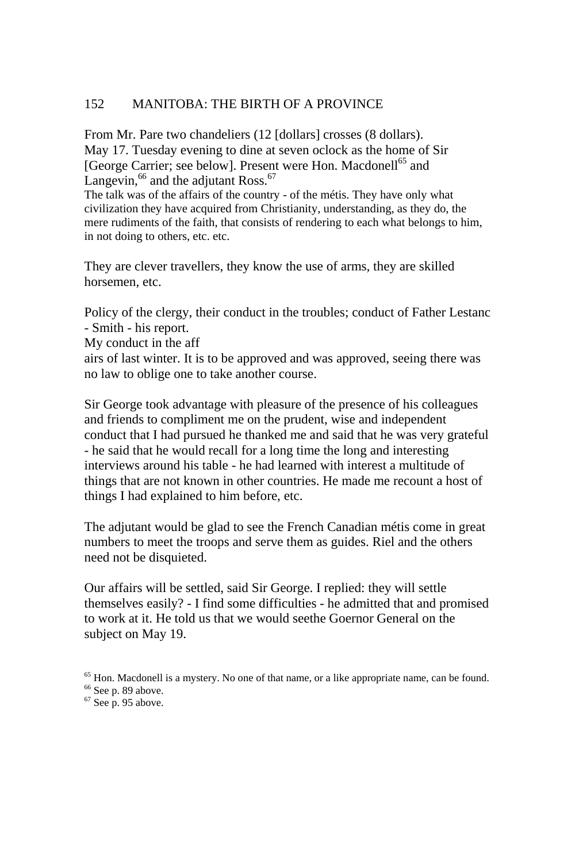From Mr. Pare two chandeliers (12 [dollars] crosses (8 dollars). May 17. Tuesday evening to dine at seven oclock as the home of Sir [George Carrier; see below]. Present were Hon. Macdonell<sup>65</sup> and Langevin,  $^{66}$  and the adjutant Ross.  $^{67}$ 

The talk was of the affairs of the country - of the métis. They have only what civilization they have acquired from Christianity, understanding, as they do, the mere rudiments of the faith, that consists of rendering to each what belongs to him, in not doing to others, etc. etc.

They are clever travellers, they know the use of arms, they are skilled horsemen, etc.

Policy of the clergy, their conduct in the troubles; conduct of Father Lestanc - Smith - his report.

My conduct in the aff

airs of last winter. It is to be approved and was approved, seeing there was no law to oblige one to take another course.

Sir George took advantage with pleasure of the presence of his colleagues and friends to compliment me on the prudent, wise and independent conduct that I had pursued he thanked me and said that he was very grateful - he said that he would recall for a long time the long and interesting interviews around his table - he had learned with interest a multitude of things that are not known in other countries. He made me recount a host of things I had explained to him before, etc.

The adjutant would be glad to see the French Canadian métis come in great numbers to meet the troops and serve them as guides. Riel and the others need not be disquieted.

Our affairs will be settled, said Sir George. I replied: they will settle themselves easily? - I find some difficulties - he admitted that and promised to work at it. He told us that we would seethe Goernor General on the subject on May 19.

<sup>&</sup>lt;sup>65</sup> Hon. Macdonell is a mystery. No one of that name, or a like appropriate name, can be found. <sup>66</sup> See p. 89 above.

 $67$  See p. 95 above.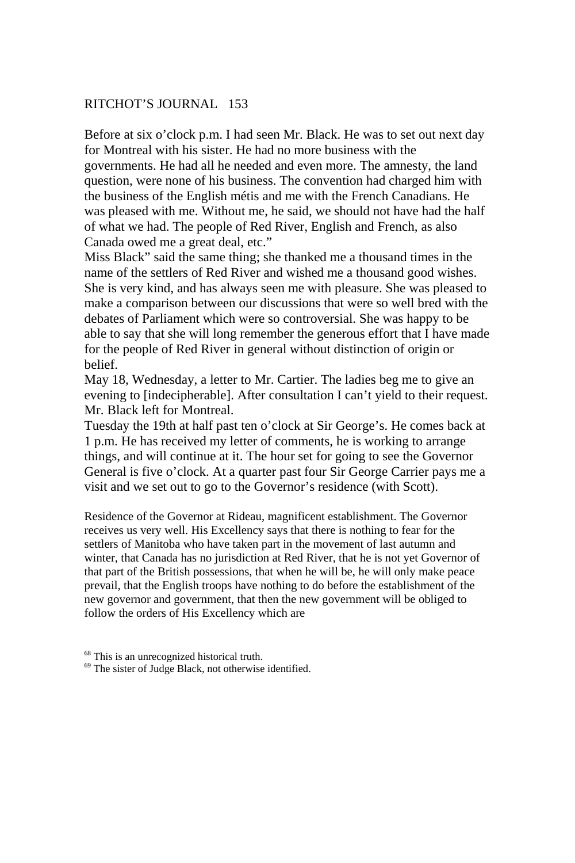Before at six o'clock p.m. I had seen Mr. Black. He was to set out next day for Montreal with his sister. He had no more business with the governments. He had all he needed and even more. The amnesty, the land question, were none of his business. The convention had charged him with the business of the English métis and me with the French Canadians. He was pleased with me. Without me, he said, we should not have had the half of what we had. The people of Red River, English and French, as also Canada owed me a great deal, etc."

Miss Black" said the same thing; she thanked me a thousand times in the name of the settlers of Red River and wished me a thousand good wishes. She is very kind, and has always seen me with pleasure. She was pleased to make a comparison between our discussions that were so well bred with the debates of Parliament which were so controversial. She was happy to be able to say that she will long remember the generous effort that I have made for the people of Red River in general without distinction of origin or belief.

May 18, Wednesday, a letter to Mr. Cartier. The ladies beg me to give an evening to [indecipherable]. After consultation I can't yield to their request. Mr. Black left for Montreal.

Tuesday the 19th at half past ten o'clock at Sir George's. He comes back at 1 p.m. He has received my letter of comments, he is working to arrange things, and will continue at it. The hour set for going to see the Governor General is five o'clock. At a quarter past four Sir George Carrier pays me a visit and we set out to go to the Governor's residence (with Scott).

Residence of the Governor at Rideau, magnificent establishment. The Governor receives us very well. His Excellency says that there is nothing to fear for the settlers of Manitoba who have taken part in the movement of last autumn and winter, that Canada has no jurisdiction at Red River, that he is not yet Governor of that part of the British possessions, that when he will be, he will only make peace prevail, that the English troops have nothing to do before the establishment of the new governor and government, that then the new government will be obliged to follow the orders of His Excellency which are

<sup>68</sup> This is an unrecognized historical truth.

 $69$  The sister of Judge Black, not otherwise identified.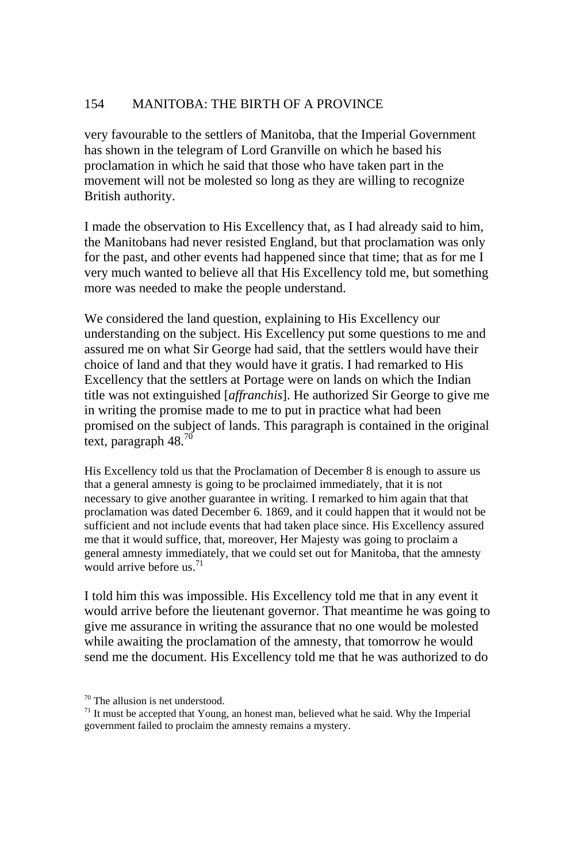very favourable to the settlers of Manitoba, that the Imperial Government has shown in the telegram of Lord Granville on which he based his proclamation in which he said that those who have taken part in the movement will not be molested so long as they are willing to recognize British authority.

I made the observation to His Excellency that, as I had already said to him, the Manitobans had never resisted England, but that proclamation was only for the past, and other events had happened since that time; that as for me I very much wanted to believe all that His Excellency told me, but something more was needed to make the people understand.

We considered the land question, explaining to His Excellency our understanding on the subject. His Excellency put some questions to me and assured me on what Sir George had said, that the settlers would have their choice of land and that they would have it gratis. I had remarked to His Excellency that the settlers at Portage were on lands on which the Indian title was not extinguished [*affranchis*]. He authorized Sir George to give me in writing the promise made to me to put in practice what had been promised on the subject of lands. This paragraph is contained in the original text, paragraph  $48.^{70}$ 

His Excellency told us that the Proclamation of December 8 is enough to assure us that a general amnesty is going to be proclaimed immediately, that it is not necessary to give another guarantee in writing. I remarked to him again that that proclamation was dated December 6. 1869, and it could happen that it would not be sufficient and not include events that had taken place since. His Excellency assured me that it would suffice, that, moreover, Her Majesty was going to proclaim a general amnesty immediately, that we could set out for Manitoba, that the amnesty would arrive before us.<sup>71</sup>

I told him this was impossible. His Excellency told me that in any event it would arrive before the lieutenant governor. That meantime he was going to give me assurance in writing the assurance that no one would be molested while awaiting the proclamation of the amnesty, that tomorrow he would send me the document. His Excellency told me that he was authorized to do

<sup>70</sup> The allusion is net understood.

 $71$  It must be accepted that Young, an honest man, believed what he said. Why the Imperial government failed to proclaim the amnesty remains a mystery.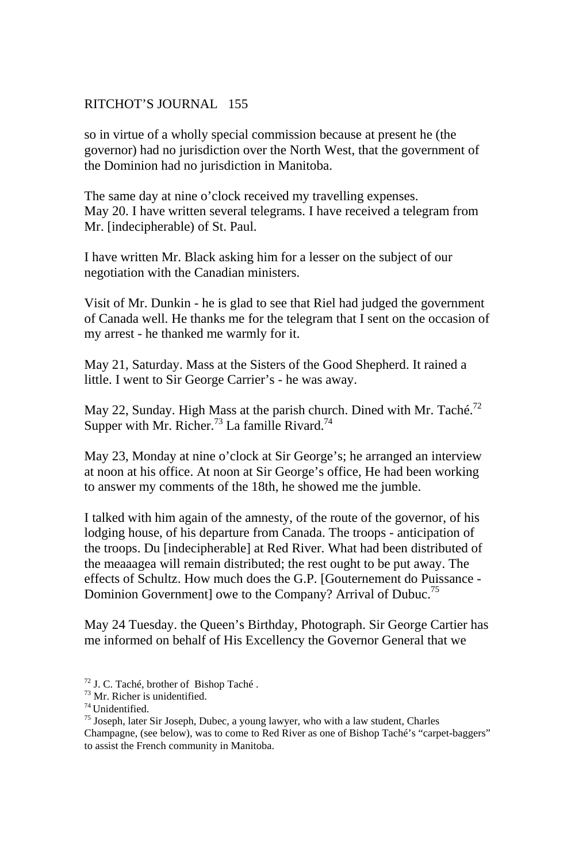so in virtue of a wholly special commission because at present he (the governor) had no jurisdiction over the North West, that the government of the Dominion had no jurisdiction in Manitoba.

The same day at nine o'clock received my travelling expenses. May 20. I have written several telegrams. I have received a telegram from Mr. [indecipherable) of St. Paul.

I have written Mr. Black asking him for a lesser on the subject of our negotiation with the Canadian ministers.

Visit of Mr. Dunkin - he is glad to see that Riel had judged the government of Canada well. He thanks me for the telegram that I sent on the occasion of my arrest - he thanked me warmly for it.

May 21, Saturday. Mass at the Sisters of the Good Shepherd. It rained a little. I went to Sir George Carrier's - he was away.

May 22, Sunday. High Mass at the parish church. Dined with Mr. Taché.<sup>72</sup> Supper with Mr. Richer.<sup>73</sup> La famille Rivard.<sup>74</sup>

May 23, Monday at nine o'clock at Sir George's; he arranged an interview at noon at his office. At noon at Sir George's office, He had been working to answer my comments of the 18th, he showed me the jumble.

I talked with him again of the amnesty, of the route of the governor, of his lodging house, of his departure from Canada. The troops - anticipation of the troops. Du [indecipherable] at Red River. What had been distributed of the meaaagea will remain distributed; the rest ought to be put away. The effects of Schultz. How much does the G.P. [Gouternement do Puissance - Dominion Government] owe to the Company? Arrival of Dubuc.<sup>75</sup>

May 24 Tuesday. the Queen's Birthday, Photograph. Sir George Cartier has me informed on behalf of His Excellency the Governor General that we

- 72 J. C. Taché, brother of Bishop Taché .
- $^{73}$  Mr. Richer is unidentified.<br> $^{74}$  Unidentified

 $<sup>75</sup>$  Joseph, later Sir Joseph, Dubec, a young lawyer, who with a law student, Charles</sup>

Champagne, (see below), was to come to Red River as one of Bishop Taché's "carpet-baggers" to assist the French community in Manitoba.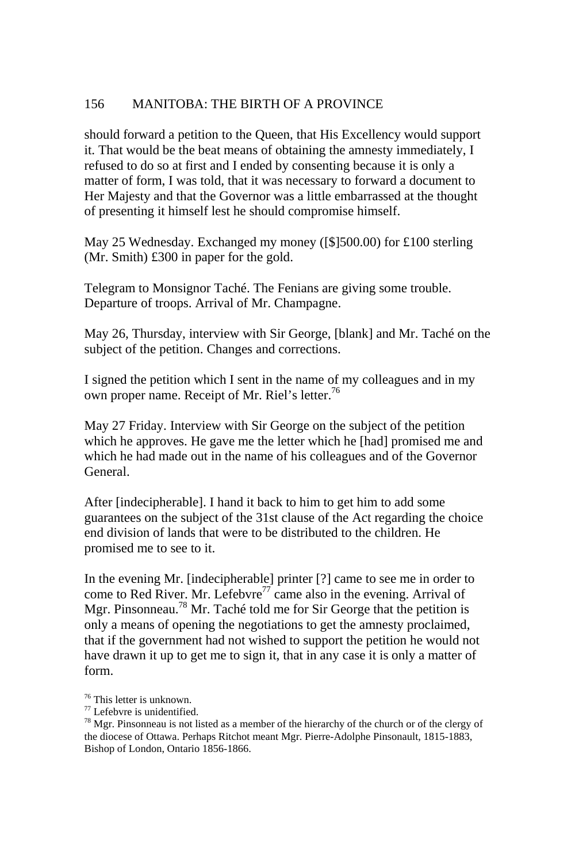should forward a petition to the Queen, that His Excellency would support it. That would be the beat means of obtaining the amnesty immediately, I refused to do so at first and I ended by consenting because it is only a matter of form, I was told, that it was necessary to forward a document to Her Majesty and that the Governor was a little embarrassed at the thought of presenting it himself lest he should compromise himself.

May 25 Wednesday. Exchanged my money ([\$]500.00) for £100 sterling (Mr. Smith) £300 in paper for the gold.

Telegram to Monsignor Taché. The Fenians are giving some trouble. Departure of troops. Arrival of Mr. Champagne.

May 26, Thursday, interview with Sir George, [blank] and Mr. Taché on the subject of the petition. Changes and corrections.

I signed the petition which I sent in the name of my colleagues and in my own proper name. Receipt of Mr. Riel's letter.<sup>76</sup>

May 27 Friday. Interview with Sir George on the subject of the petition which he approves. He gave me the letter which he [had] promised me and which he had made out in the name of his colleagues and of the Governor General.

After [indecipherable]. I hand it back to him to get him to add some guarantees on the subject of the 31st clause of the Act regarding the choice end division of lands that were to be distributed to the children. He promised me to see to it.

In the evening Mr. [indecipherable] printer [?] came to see me in order to come to Red River. Mr. Lefebvre<sup>77</sup> came also in the evening. Arrival of Mgr. Pinsonneau.<sup>78</sup> Mr. Taché told me for Sir George that the petition is only a means of opening the negotiations to get the amnesty proclaimed, that if the government had not wished to support the petition he would not have drawn it up to get me to sign it, that in any case it is only a matter of form.

<sup>76</sup> This letter is unknown.

<sup>77</sup> Lefebvre is unidentified.

 $78$  Mgr. Pinsonneau is not listed as a member of the hierarchy of the church or of the clergy of the diocese of Ottawa. Perhaps Ritchot meant Mgr. Pierre-Adolphe Pinsonault, 1815-1883, Bishop of London, Ontario 1856-1866.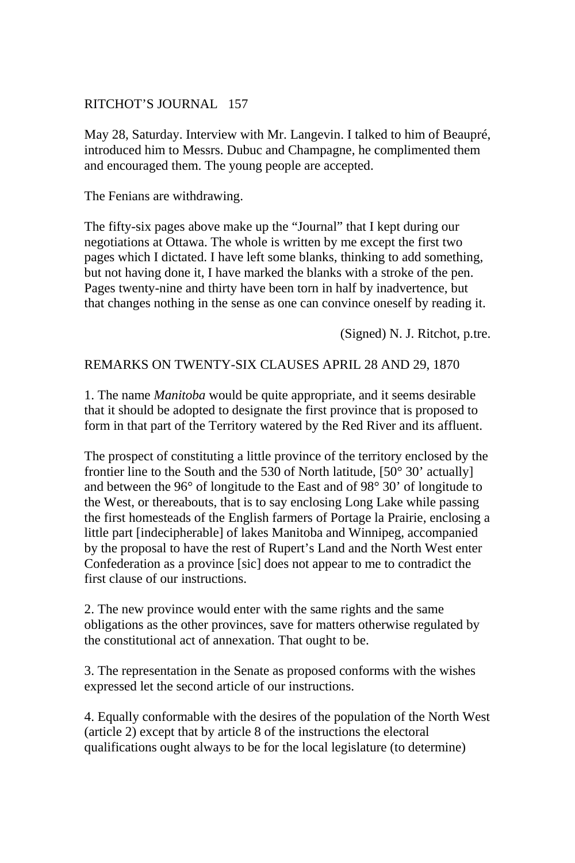May 28, Saturday. Interview with Mr. Langevin. I talked to him of Beaupré, introduced him to Messrs. Dubuc and Champagne, he complimented them and encouraged them. The young people are accepted.

The Fenians are withdrawing.

The fifty-six pages above make up the "Journal" that I kept during our negotiations at Ottawa. The whole is written by me except the first two pages which I dictated. I have left some blanks, thinking to add something, but not having done it, I have marked the blanks with a stroke of the pen. Pages twenty-nine and thirty have been torn in half by inadvertence, but that changes nothing in the sense as one can convince oneself by reading it.

(Signed) N. J. Ritchot, p.tre.

#### REMARKS ON TWENTY-SIX CLAUSES APRIL 28 AND 29, 1870

1. The name *Manitoba* would be quite appropriate, and it seems desirable that it should be adopted to designate the first province that is proposed to form in that part of the Territory watered by the Red River and its affluent.

The prospect of constituting a little province of the territory enclosed by the frontier line to the South and the 530 of North latitude, [50° 30' actually] and between the 96° of longitude to the East and of 98° 30' of longitude to the West, or thereabouts, that is to say enclosing Long Lake while passing the first homesteads of the English farmers of Portage la Prairie, enclosing a little part [indecipherable] of lakes Manitoba and Winnipeg, accompanied by the proposal to have the rest of Rupert's Land and the North West enter Confederation as a province [sic] does not appear to me to contradict the first clause of our instructions.

2. The new province would enter with the same rights and the same obligations as the other provinces, save for matters otherwise regulated by the constitutional act of annexation. That ought to be.

3. The representation in the Senate as proposed conforms with the wishes expressed let the second article of our instructions.

4. Equally conformable with the desires of the population of the North West (article 2) except that by article 8 of the instructions the electoral qualifications ought always to be for the local legislature (to determine)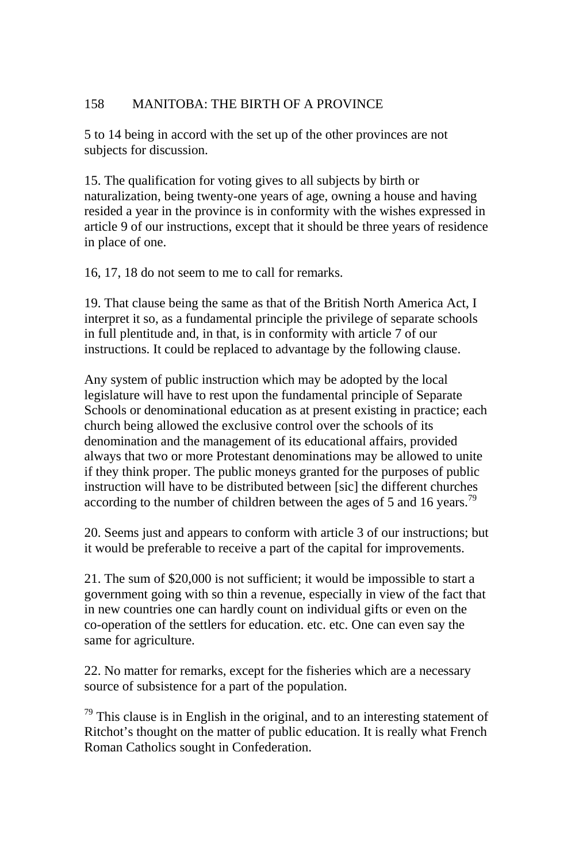5 to 14 being in accord with the set up of the other provinces are not subjects for discussion.

15. The qualification for voting gives to all subjects by birth or naturalization, being twenty-one years of age, owning a house and having resided a year in the province is in conformity with the wishes expressed in article 9 of our instructions, except that it should be three years of residence in place of one.

16, 17, 18 do not seem to me to call for remarks.

19. That clause being the same as that of the British North America Act, I interpret it so, as a fundamental principle the privilege of separate schools in full plentitude and, in that, is in conformity with article 7 of our instructions. It could be replaced to advantage by the following clause.

Any system of public instruction which may be adopted by the local legislature will have to rest upon the fundamental principle of Separate Schools or denominational education as at present existing in practice; each church being allowed the exclusive control over the schools of its denomination and the management of its educational affairs, provided always that two or more Protestant denominations may be allowed to unite if they think proper. The public moneys granted for the purposes of public instruction will have to be distributed between [sic] the different churches according to the number of children between the ages of 5 and 16 years.<sup>79</sup>

20. Seems just and appears to conform with article 3 of our instructions; but it would be preferable to receive a part of the capital for improvements.

21. The sum of \$20,000 is not sufficient; it would be impossible to start a government going with so thin a revenue, especially in view of the fact that in new countries one can hardly count on individual gifts or even on the co-operation of the settlers for education. etc. etc. One can even say the same for agriculture.

22. No matter for remarks, except for the fisheries which are a necessary source of subsistence for a part of the population.

 $79$  This clause is in English in the original, and to an interesting statement of Ritchot's thought on the matter of public education. It is really what French Roman Catholics sought in Confederation.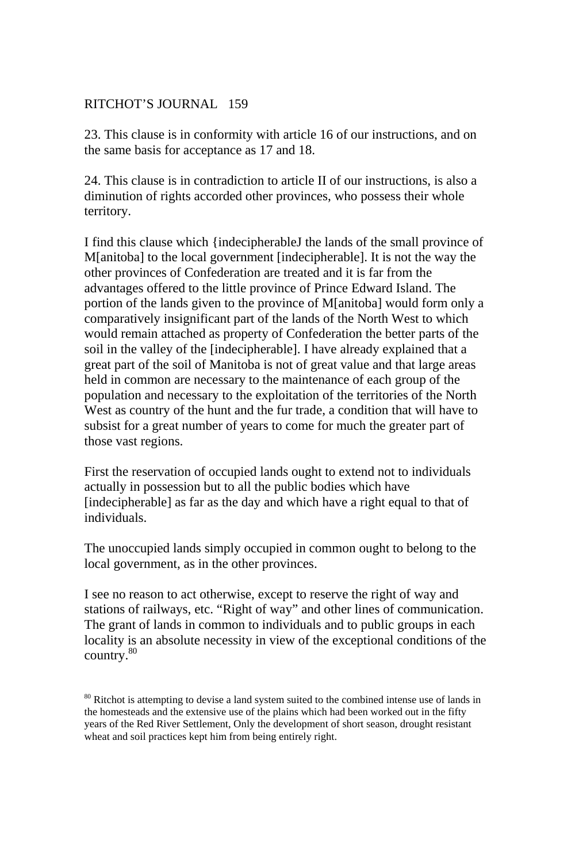23. This clause is in conformity with article 16 of our instructions, and on the same basis for acceptance as 17 and 18.

24. This clause is in contradiction to article II of our instructions, is also a diminution of rights accorded other provinces, who possess their whole territory.

I find this clause which {indecipherableJ the lands of the small province of M[anitoba] to the local government [indecipherable]. It is not the way the other provinces of Confederation are treated and it is far from the advantages offered to the little province of Prince Edward Island. The portion of the lands given to the province of M[anitoba] would form only a comparatively insignificant part of the lands of the North West to which would remain attached as property of Confederation the better parts of the soil in the valley of the [indecipherable]. I have already explained that a great part of the soil of Manitoba is not of great value and that large areas held in common are necessary to the maintenance of each group of the population and necessary to the exploitation of the territories of the North West as country of the hunt and the fur trade, a condition that will have to subsist for a great number of years to come for much the greater part of those vast regions.

First the reservation of occupied lands ought to extend not to individuals actually in possession but to all the public bodies which have [indecipherable] as far as the day and which have a right equal to that of individuals.

The unoccupied lands simply occupied in common ought to belong to the local government, as in the other provinces.

I see no reason to act otherwise, except to reserve the right of way and stations of railways, etc. "Right of way" and other lines of communication. The grant of lands in common to individuals and to public groups in each locality is an absolute necessity in view of the exceptional conditions of the country.<sup>80</sup>

<sup>80</sup> Ritchot is attempting to devise a land system suited to the combined intense use of lands in the homesteads and the extensive use of the plains which had been worked out in the fifty years of the Red River Settlement, Only the development of short season, drought resistant wheat and soil practices kept him from being entirely right.